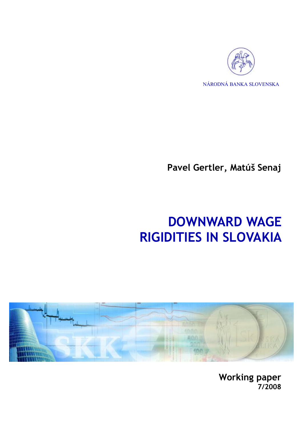

NÁRODNÁ BANKA SLOVENSKA

**Pavel Gertler, Matúš Senaj** 

# **DOWNWARD WAGE RIGIDITIES IN SLOVAKIA**



**Working paper 7/2008**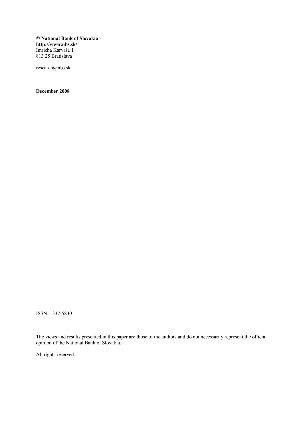**© National Bank of Slovakia http://www.nbs.sk/**  Imricha Karvaša 1 813 25 Bratislava

research@nbs.sk

**December 2008** 

ISSN: 1337-5830

The views and results presented in this paper are those of the authors and do not necessarily represent the official opinion of the National Bank of Slovakia.

All rights reserved.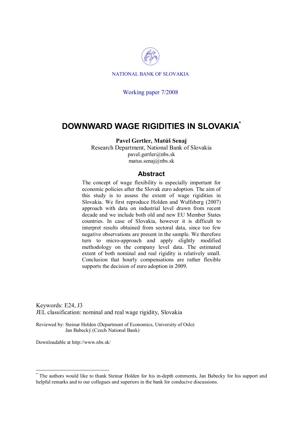

NATIONAL BANK OF SLOVAKIA

Working paper 7/2008

### **DOWNWARD WAGE RIGIDITIES IN SLOVAKIA\***

#### **Pavel Gertler, Matúš Senaj**

Research Department, National Bank of Slovakia pavel.gertler@nbs.sk matus.senaj@nbs.sk

#### **Abstract**

The concept of wage flexibility is especially important for economic policies after the Slovak euro adoption. The aim of this study is to assess the extent of wage rigidities in Slovakia. We first reproduce Holden and Wulfsberg (2007) approach with data on industrial level drawn from recent decade and we include both old and new EU Member States countries. In case of Slovakia, however it is difficult to interpret results obtained from sectoral data, since too few negative observations are present in the sample. We therefore turn to micro-approach and apply slightly modified methodology on the company level data. The estimated extent of both nominal and real rigidity is relatively small. Conclusion that hourly compensations are rather flexible supports the decision of euro adoption in 2009.

Keywords: E24, J3 JEL classification: nominal and real wage rigidity, Slovakia

Reviewed by: Steinar Holden (Department of Economics, University of Oslo) Jan Babecký (Czech National Bank)

Downloadable at http://www.nbs.sk/

<sup>\*</sup> The authors would like to thank Steinar Holden for his in-depth comments, Jan Babecky for his support and helpful remarks and to our collegues and superiors in the bank for conducive discussions.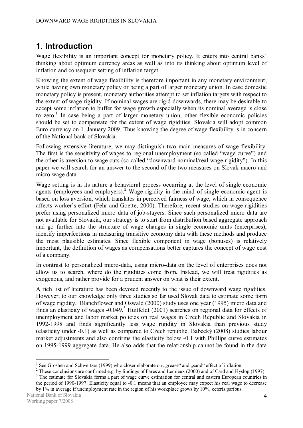# **1. Introduction**

Wage flexibility is an important concept for monetary policy. It enters into central banks´ thinking about optimum currency areas as well as into its thinking about optimum level of inflation and consequent setting of inflation target.

Knowing the extent of wage flexibility is therefore important in any monetary environment; while having own monetary policy or being a part of larger monetary union. In case domestic monetary policy is present, monetary authorities attempt to set inflation targets with respect to the extent of wage rigidity. If nominal wages are rigid downwards, there may be desirable to accept some inflation to buffer for wage growth especially when its nominal average is close to zero.<sup>1</sup> In case being a part of larger monetary union, other flexible economic policies should be set to compensate for the extent of wage rigidities. Slovakia will adopt common Euro currency on 1. January 2009. Thus knowing the degree of wage flexibility is in concern of the National bank of Slovakia.

Following extensive literature, we may distinguish two main measures of wage flexibility. The first is the sensitivity of wages to regional unemployment (so called "wage curve") and the other is aversion to wage cuts (so called "downward nominal/real wage rigidity"). In this paper we will search for an answer to the second of the two measures on Slovak macro and micro wage data.

Wage setting is in its nature a behavioral process occurring at the level of single economic agents (employees and employers).<sup>2</sup> Wage rigidity in the mind of single economic agent is based on loss aversion, which translates in perceived fairness of wage, which in consequence affects worker's effort (Fehr and Goette, 2000). Therefore, recent studies on wage rigidities prefer using personalized micro data of job-stayers. Since such personalized micro data are not available for Slovakia, our strategy is to start from distribution based aggregate approach and go further into the structure of wage changes in single economic units (enterprises), identify imperfections in measuring transitive economy data with these methods and produce the most plausible estimates. Since flexible component in wage (bonuses) is relatively important, the definition of wages as compensations better captures the concept of wage cost of a company.

In contrast to personalized micro-data, using micro-data on the level of enterprises does not allow us to search, where do the rigidities come from. Instead, we will treat rigidities as exogenous, and rather provide for a prudent answer on what is their extent.

A rich list of literature has been devoted recently to the issue of downward wage rigidities. However, to our knowledge only three studies so far used Slovak data to estimate some form of wage rigidity. Blanchflower and Oswald (2000) study uses one year (1995) micro data and finds an elasticity of wages  $-0.049$ .<sup>3</sup> Huitfeldt (2001) searches on regional data for effects of unemployment and labor market policies on real wages in Czech Republic and Slovakia in 1992-1998 and finds significantly less wage rigidity in Slovakia than previous study (elasticity under -0.1) as well as compared to Czech republic. Babecký (2008) studies labour market adjustments and also confirms the elasticity below -0.1 with Phillips curve estimates on 1995-1999 aggregate data. He also adds that the relationship cannot be found in the data

<sup>&</sup>lt;sup>1</sup> See Groshen and Schweitzer (1999) who closer elaborate on "grease" and "sand" effect of inflation.

<sup>&</sup>lt;sup>2</sup> These conclusions are confirmed e.g. by findings of Fares and Lemieux (2000) and of Card and Hyslop (1997).

<sup>&</sup>lt;sup>3</sup> The estimate for Slovakia forms a part of wage curve estimation for central and eastern European countries in the period of 1990-1997. Elasticity equal to -0.1 means that an employee may expect his real wage to decrease by 1% in average if unemployment rate in the region of his workplace grows by 10%, ceteris paribus.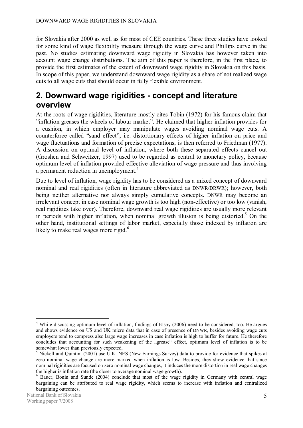for Slovakia after 2000 as well as for most of CEE countries. These three studies have looked for some kind of wage flexibility measure through the wage curve and Phillips curve in the past. No studies estimating downward wage rigidity in Slovakia has however taken into account wage change distributions. The aim of this paper is therefore, in the first place, to provide the first estimates of the extent of downward wage rigidity in Slovakia on this basis. In scope of this paper, we understand downward wage rigidity as a share of not realized wage cuts to all wage cuts that should occur in fully flexible environment.

## **2. Downward wage rigidities - concept and literature overview**

At the roots of wage rigidities, literature mostly cites Tobin (1972) for his famous claim that "inflation greases the wheels of labour market". He claimed that higher inflation provides for a cushion, in which employer may manipulate wages avoiding nominal wage cuts. A counterforce called "sand effect", i.e. distortionary effects of higher inflation on price and wage fluctuations and formation of precise expectations, is then referred to Friedman (1977). A discussion on optimal level of inflation, where both these separated effects cancel out (Groshen and Schweitzer, 1997) used to be regarded as central to monetary policy, because optimum level of inflation provided effective alleviation of wage pressure and thus involving a permanent reduction in unemployment.<sup>4</sup>

Due to level of inflation, wage rigidity has to be considered as a mixed concept of downward nominal and real rigidities (often in literature abbreviated as DNWR/DRWR); however, both being neither alternative nor always simply cumulative concepts. DNWR may become an irrelevant concept in case nominal wage growth is too high (non-effective) or too low (vanish, real rigidities take over). Therefore, downward real wage rigidities are usually more relevant in periods with higher inflation, when nominal growth illusion is being distorted.<sup>5</sup> On the other hand, institutional settings of labor market, especially those indexed by inflation are likely to make real wages more rigid.<sup>6</sup>

 $\overline{a}$ <sup>4</sup> While discussing optimum level of inflation, findings of Elsby (2006) need to be considered, too. He argues and shows evidence on US and UK micro data that in case of presence of DNWR, besides avoiding wage cuts employers tend to compress also large wage increases in case inflation is high to buffer for future. He therefore concludes that accounting for such weakening of the "grease" effect, optimum level of inflation is to be somewhat lower than previously expected.

<sup>&</sup>lt;sup>5</sup> Nickell and Quintini (2001) use U.K. NES (New Earnings Survey) data to provide for evidence that spikes at zero nominal wage change are more marked when inflation is low. Besides, they show evidence that since nominal rigidities are focused on zero nominal wage changes, it induces the more distortion in real wage changes the higher is inflation rate (the closer to average nominal wage growth).

<sup>&</sup>lt;sup>6</sup> Bauer, Bonin and Sunde (2004) conclude that most of the wage rigidity in Germany with central wage bargaining can be attributed to real wage rigidity, which seems to increase with inflation and centralized bargaining outcomes.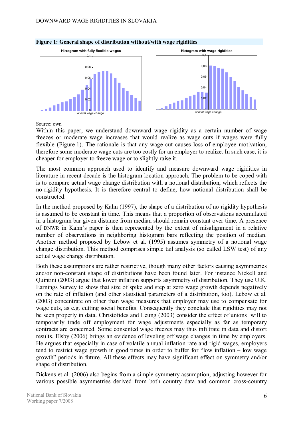

#### **Figure 1: General shape of distribution without/with wage rigidities**

Source: own

Within this paper, we understand downward wage rigidity as a certain number of wage freezes or moderate wage increases that would realize as wage cuts if wages were fully flexible (Figure 1). The rationale is that any wage cut causes loss of employee motivation, therefore some moderate wage cuts are too costly for an employer to realize. In such case, it is cheaper for employer to freeze wage or to slightly raise it.

The most common approach used to identify and measure downward wage rigidities in literature in recent decade is the histogram location approach. The problem to be coped with is to compare actual wage change distribution with a notional distribution, which reflects the no-rigidity hypothesis. It is therefore central to define, how notional distribution shall be constructed.

In the method proposed by Kahn (1997), the shape of a distribution of no rigidity hypothesis is assumed to be constant in time. This means that a proportion of observations accumulated in a histogram bar given distance from median should remain constant over time. A presence of DNWR in Kahn's paper is then represented by the extent of misalignment in a relative number of observations in neighboring histogram bars reflecting the position of median. Another method proposed by Lebow et al. (1995) assumes symmetry of a notional wage change distribution. This method comprises simple tail analysis (so called LSW test) of any actual wage change distribution.

Both these assumptions are rather restrictive, though many other factors causing asymmetries and/or non-constant shape of distributions have been found later. For instance Nickell and Quintini (2003) argue that lower inflation supports asymmetry of distribution. They use U.K. Earnings Survey to show that size of spike and step at zero wage growth depends negatively on the rate of inflation (and other statistical parameters of a distribution, too). Lebow et al. (2003) concentrate on other than wage measures that employer may use to compensate for wage cuts, as e.g. cutting social benefits. Consequently they conclude that rigidities may not be seen properly in data. Christofides and Leung (2003) consider the effect of unions´ will to temporarily trade off employment for wage adjustments especially as far as temporary contracts are concerned. Some consented wage freezes may thus infiltrate in data and distort results. Elsby (2006) brings an evidence of leveling off wage changes in time by employers. He argues that especially in case of volatile annual inflation rate and rigid wages, employers tend to restrict wage growth in good times in order to buffer for "low inflation – low wage growth" periods in future. All these effects may have significant effect on symmetry and/or shape of distribution.

Dickens et al. (2006) also begins from a simple symmetry assumption, adjusting however for various possible asymmetries derived from both country data and common cross-country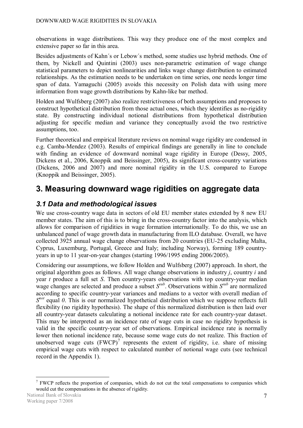observations in wage distributions. This way they produce one of the most complex and extensive paper so far in this area.

Besides adjustments of Kahn´s or Lebow´s method, some studies use hybrid methods. One of them, by Nickell and Quintini (2003) uses non-parametric estimation of wage change statistical parameters to depict nonlinearities and links wage change distribution to estimated relationships. As the estimation needs to be undertaken on time series, one needs longer time span of data. Yamaguchi (2005) avoids this necessity on Polish data with using more information from wage growth distributions by Kahn-like bar method.

Holden and Wulfsberg (2007) also realize restrictiveness of both assumptions and proposes to construct hypothetical distribution from those actual ones, which they identifies as no-rigidity state. By constructing individual notional distributions from hypothetical distribution adjusting for specific median and variance they conceptually avoid the two restrictive assumptions, too.

Further theoretical and empirical literature reviews on nominal wage rigidity are condensed in e.g. Camba-Mendez (2003). Results of empirical findings are generally in line to conclude with finding an evidence of downward nominal wage rigidity in Europe (Dessy, 2005, Dickens et al., 2006, Knoppik and Beissinger, 2005), its significant cross-country variations (Dickens, 2006 and 2007) and more nominal rigidity in the U.S. compared to Europe (Knoppik and Beissinger, 2005).

# **3. Measuring downward wage rigidities on aggregate data**

### *3.1 Data and methodological issues*

We use cross-country wage data in sectors of old EU member states extended by 8 new EU member states. The aim of this is to bring in the cross-country factor into the analysis, which allows for comparison of rigidities in wage formation internationally. To do this, we use an unbalanced panel of wage growth data in manufacturing from ILO database. Overall, we have collected 3925 annual wage change observations from 20 countries (EU-25 excluding Malta, Cyprus, Luxemburg, Portugal, Greece and Italy; including Norway), forming 189 countryyears in up to 11 year-on-year changes (starting 1996/1995 ending 2006/2005).

Considering our assumptions, we follow Holden and Wulfsberg (2007) approach. In short, the original algorithm goes as follows. All wage change observations in industry *j*, country *i* and year *t* produce a full set *S*. Then country-years observations with top country-year median wage changes are selected and produce a subset  $S^{sub}$ . Observations within  $S^{sub}$  are normalized according to specific country-year variances and medians to a vector with overall median of *S<sup>not</sup>* equal *0*. This is our normalized hypothetical distribution which we suppose reflects full flexibility (no rigidity hypothesis). The shape of this normalized distribution is then laid over all country-year datasets calculating a notional incidence rate for each country-year dataset. This may be interpreted as an incidence rate of wage cuts in case no rigidity hypothesis is valid in the specific country-year set of observations. Empirical incidence rate is normally lower then notional incidence rate, because some wage cuts do not realize. This fraction of unobserved wage cuts  $(FWCP)^7$  represents the extent of rigidity, i.e. share of missing empirical wage cuts with respect to calculated number of notional wage cuts (see technical record in the Appendix 1).

 $7$  FWCP reflects the proportion of companies, which do not cut the total compensations to companies which would cut the compensations in the absence of rigidity.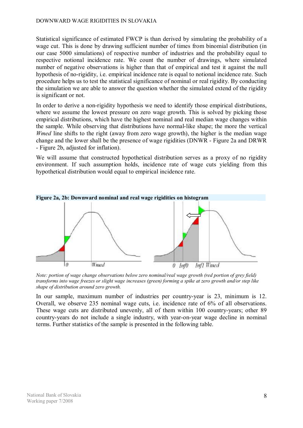#### DOWNWARD WAGE RIGIDITIES IN SLOVAKIA

Statistical significance of estimated FWCP is than derived by simulating the probability of a wage cut. This is done by drawing sufficient number of times from binomial distribution (in our case 5000 simulations) of respective number of industries and the probability equal to respective notional incidence rate. We count the number of drawings, where simulated number of negative observations is higher than that of empirical and test it against the null hypothesis of no-rigidity, i.e. empirical incidence rate is equal to notional incidence rate. Such procedure helps us to test the statistical significance of nominal or real rigidity. By conducting the simulation we are able to answer the question whether the simulated extend of the rigidity is significant or not.

In order to derive a non-rigidity hypothesis we need to identify those empirical distributions, where we assume the lowest pressure on zero wage growth. This is solved by picking those empirical distributions, which have the highest nominal and real median wage changes within the sample. While observing that distributions have normal-like shape; the more the vertical *Wmed* line shifts to the right (away from zero wage growth), the higher is the median wage change and the lower shall be the presence of wage rigidities (DNWR - Figure 2a and DRWR - Figure 2b, adjusted for inflation).

We will assume that constructed hypothetical distribution serves as a proxy of no rigidity environment. If such assumption holds, incidence rate of wage cuts yielding from this hypothetical distribution would equal to empirical incidence rate.



*Note: portion of wage change observations below zero nominal/real wage growth (red portion of grey field)*  transforms into wage freezes or slight wage increases (green) forming a spike at zero growth and/or step like *shape of distribution around zero growth.* 

In our sample, maximum number of industries per country-year is 23, minimum is 12. Overall, we observe 235 nominal wage cuts, i.e. incidence rate of 6% of all observations. These wage cuts are distributed unevenly, all of them within 100 country-years; other 89 country-years do not include a single industry, with year-on-year wage decline in nominal terms. Further statistics of the sample is presented in the following table.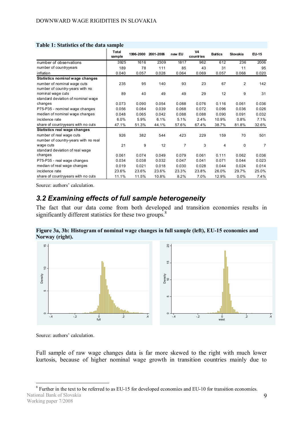|                                      | <b>Total</b><br>sample | 1996-2000 | 2001-2006 | new EU | <b>V4</b><br>countries | <b>Baltics</b> | Slovakia       | EU-15 |
|--------------------------------------|------------------------|-----------|-----------|--------|------------------------|----------------|----------------|-------|
| number of observations               | 3925                   | 1616      | 2309      | 1817   | 962                    | 612            | 236            | 2006  |
| number of countryyears               | 189                    | 78        | 111       | 85     | 43                     | 31             | 11             | 95    |
| inflation                            | 0.040                  | 0.057     | 0.028     | 0.064  | 0.069                  | 0.057          | 0.068          | 0.020 |
| Statistics nominal wage changes      |                        |           |           |        |                        |                |                |       |
| number of nominal wage cuts          | 235                    | 95        | 140       | 93     | 23                     | 67             | $\overline{2}$ | 142   |
| number of country-years with no      |                        |           |           |        |                        |                |                |       |
| nominal wage cuts                    | 89                     | 40        | 49        | 49     | 29                     | 12             | 9              | 31    |
| standard deviation of nominal wage   |                        |           |           |        |                        |                |                |       |
| changes                              | 0.073                  | 0.090     | 0.054     | 0.088  | 0.076                  | 0.116          | 0.061          | 0.036 |
| P75-P35 - nominal wage changes       | 0.056                  | 0.084     | 0.039     | 0.068  | 0.072                  | 0.096          | 0.036          | 0.026 |
| median of nominal wage changes       | 0.048                  | 0.065     | 0.042     | 0.088  | 0.088                  | 0.090          | 0.091          | 0.032 |
| incidence rate                       | 6.0%                   | 5.9%      | 6.1%      | 5.1%   | 2.4%                   | 10.9%          | 0.8%           | 7.1%  |
| share of countryyears with no cuts   | 47.1%                  | 51.3%     | 44.1%     | 57.6%  | 67.4%                  | 38.7%          | 81.8%          | 32.6% |
| Statistics real wage changes         |                        |           |           |        |                        |                |                |       |
| number of real wage cuts             | 926                    | 382       | 544       | 423    | 229                    | 159            | 70             | 501   |
| number of country-years with no real |                        |           |           |        |                        |                |                |       |
| wage cuts                            | 21                     | 9         | 12        | 7      | 3                      | 4              | 0              | 7     |
| standard deviation of real wage      |                        |           |           |        |                        |                |                |       |
| changes                              | 0.061                  | 0.074     | 0.049     | 0.079  | 0.061                  | 0.111          | 0.062          | 0.036 |
| P75-P35 - real wage changes          | 0.034                  | 0.038     | 0.032     | 0.047  | 0.041                  | 0.071          | 0.044          | 0.023 |
| median of real wage changes          | 0.019                  | 0.021     | 0.018     | 0.030  | 0.028                  | 0.044          | 0.024          | 0.014 |
| incidence rate                       | 23.6%                  | 23.6%     | 23.6%     | 23.3%  | 23.8%                  | 26.0%          | 29.7%          | 25.0% |
| share of countryyears with no cuts   | 11.1%                  | 11.5%     | 10.8%     | 8.2%   | 7.0%                   | 12.9%          | 0.0%           | 7.4%  |

#### **Table 1: Statistics of the data sample**

Source: authors' calculation.

### *3.2 Examining effects of full sample heterogeneity*

The fact that our data come from both developed and transition economies results in significantly different statistics for these two groups.<sup>8</sup>

**Figure 3a, 3b: Histogram of nominal wage changes in full sample (left), EU-15 economies and Norway (right).** 



Source: authors' calculation.

 $\overline{a}$ 

Full sample of raw wage changes data is far more skewed to the right with much lower kurtosis, because of higher nominal wage growth in transition countries mainly due to

National Bank of Slovakia Working paper 7/2008 <sup>8</sup> Further in the text to be referred to as EU-15 for developed economies and EU-10 for transition economies.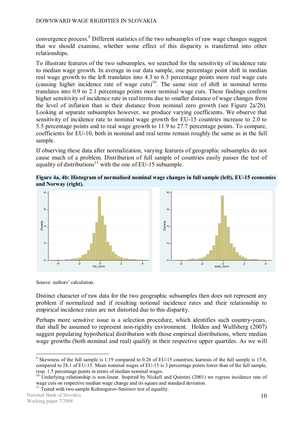convergence process.<sup>9</sup> Different statistics of the two subsamples of raw wage changes suggest that we should examine, whether some effect of this disparity is transferred into other relationships.

To illustrate features of the two subsamples, we searched for the sensitivity of incidence rate to median wage growth. In average in our data sample, one percentage point shift in median real wage growth to the left translates into 4.3 to 6.3 percentage points more real wage cuts (causing higher incidence rate of wage cuts)<sup>10</sup>. The same size of shift in nominal terms translates into 0.9 to 2.1 percentage points more nominal wage cuts. These findings confirm higher sensitivity of incidence rate in real terms due to smaller distance of wage changes from the level of inflation than is their distance from nominal zero growth (see Figure 2a/2b). Looking at separate subsamples however, we produce varying coefficients. We observe that sensitivity of incidence rate to nominal wage growth for EU-15 countries increase to 2.0 to 5.5 percentage points and to real wage growth to 11.9 to 27.7 percentage points. To compare, coefficients for EU-10, both in nominal and real terms remain roughly the same as in the full sample.

If observing these data after normalization, varying features of geographic subsamples do not cause much of a problem. Distribution of full sample of countries easily passes the test of equality of distributions<sup>11</sup> with the one of EU-15 subsample.

**Figure 4a, 4b: Histogram of normalised nominal wage changes in full sample (left), EU-15 economies and Norway (right).** 



Source: authors' calculation.

Distinct character of raw data for the two geographic subsamples then does not represent any problem if normalized and if resulting notional incidence rates and their relationship to empirical incidence rates are not distorted due to this disparity.

Perhaps more sensitive issue is a selection procedure, which identifies such country-years, that shall be assumed to represent non-rigidity environment. Holden and Wulfsberg (2007) suggest populating hypothetical distribution with those empirical distributions, where median wage growths (both nominal and real) qualify in their respective upper quartiles. As we will

<sup>&</sup>lt;sup>9</sup> Skewness of the full sample is 1.19 compared to 0.26 of EU-15 countries; kurtosis of the full sample is 15.6, compared to 28.1 of EU-15. Mean nominal wages of EU-15 is 3 percentage points lower than of the full sample, resp. 1.5 percentage points in terms of median nominal wages.

<sup>&</sup>lt;sup>10</sup> Underlying relationship is non-linear. Inspired by Nickell and Quintini (2001) we regress incidence rate of wage cuts on respective median wage change and its square and standard deviation.

<sup>&</sup>lt;sup>11</sup> Tested with two-sample Kolmogorov-Smirnov test of equality.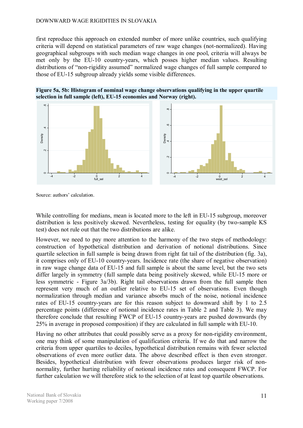#### DOWNWARD WAGE RIGIDITIES IN SLOVAKIA

first reproduce this approach on extended number of more unlike countries, such qualifying criteria will depend on statistical parameters of raw wage changes (not-normalized). Having geographical subgroups with such median wage changes in one pool, criteria will always be met only by the EU-10 country-years, which posses higher median values. Resulting distributions of "non-rigidity assumed" normalized wage changes of full sample compared to those of EU-15 subgroup already yields some visible differences.





Source: authors' calculation.

While controlling for medians, mean is located more to the left in EU-15 subgroup, moreover distribution is less positively skewed. Nevertheless, testing for equality (by two-sample KS test) does not rule out that the two distributions are alike.

However, we need to pay more attention to the harmony of the two steps of methodology: construction of hypothetical distribution and derivation of notional distributions. Since quartile selection in full sample is being drawn from right fat tail of the distribution (fig. 3a), it comprises only of EU-10 country-years. Incidence rate (the share of negative observation) in raw wage change data of EU-15 and full sample is about the same level, but the two sets differ largely in symmetry (full sample data being positively skewed, while EU-15 more or less symmetric - Figure 3a/3b). Right tail observations drawn from the full sample then represent very much of an outlier relative to EU-15 set of observations. Even though normalization through median and variance absorbs much of the noise, notional incidence rates of EU-15 country-years are for this reason subject to downward shift by 1 to 2.5 percentage points (difference of notional incidence rates in Table 2 and Table 3). We may therefore conclude that resulting FWCP of EU-15 country-years are pushed downwards (by 25% in average in proposed composition) if they are calculated in full sample with EU-10.

Having no other attributes that could possibly serve as a proxy for non-rigidity environment, one may think of some manipulation of qualification criteria. If we do that and narrow the criteria from upper quartiles to deciles, hypothetical distribution remains with fewer selected observations of even more outlier data. The above described effect is then even stronger. Besides, hypothetical distribution with fewer observations produces larger risk of nonnormality, further hurting reliability of notional incidence rates and consequent FWCP. For further calculation we will therefore stick to the selection of at least top quartile observations.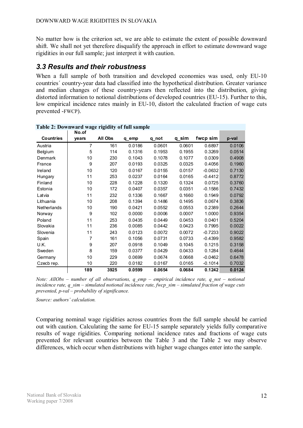No matter how is the criterion set, we are able to estimate the extent of possible downward shift. We shall not yet therefore disqualify the approach in effort to estimate downward wage rigidities in our full sample; just interpret it with caution.

#### *3.3 Results and their robustness*

When a full sample of both transition and developed economies was used, only EU-10 countries´ country-year data had classified into the hypothetical distribution. Greater variance and median changes of these country-years then reflected into the distribution, giving distorted information to notional distributions of developed countries (EU-15). Further to this, low empirical incidence rates mainly in EU-10, distort the calculated fraction of wage cuts prevented -FWCP).

|                  | $\frac{1}{2}$ . Downward wage rightly or fail sample<br>No.of |         |        |        |        |           |        |
|------------------|---------------------------------------------------------------|---------|--------|--------|--------|-----------|--------|
| <b>Countries</b> | years                                                         | All Obs | q_emp  | q not  | q_sim  | fwcp sim  | p-val  |
| Austria          | 7                                                             | 161     | 0.0186 | 0.0601 | 0.0601 | 0.6897    | 0.0106 |
| Belgium          | 5                                                             | 114     | 0.1316 | 0.1953 | 0.1955 | 0.3269    | 0.0514 |
| Denmark          | 10                                                            | 230     | 0.1043 | 0.1078 | 0.1077 | 0.0309    | 0.4908 |
| France           | 9                                                             | 207     | 0.0193 | 0.0325 | 0.0325 | 0.4056    | 0.1960 |
| Ireland          | 10                                                            | 120     | 0.0167 | 0.0155 | 0.0157 | $-0.0632$ | 0.7130 |
| Hungary          | 11                                                            | 253     | 0.0237 | 0.0164 | 0.0165 | $-0.4412$ | 0.8772 |
| Finland          | 10                                                            | 228     | 0.1228 | 0.1320 | 0.1324 | 0.0725    | 0.3760 |
| Estonia          | 10                                                            | 172     | 0.0407 | 0.0357 | 0.0351 | $-0.1586$ | 0.7432 |
| Latvia           | 11                                                            | 232     | 0.1336 | 0.1667 | 0.1660 | 0.1949    | 0.0792 |
| Lithuania        | 10                                                            | 208     | 0.1394 | 0.1486 | 0.1495 | 0.0674    | 0.3836 |
| Netherlands      | 10                                                            | 190     | 0.0421 | 0.0552 | 0.0553 | 0.2389    | 0.2644 |
| Norway           | 9                                                             | 102     | 0.0000 | 0.0006 | 0.0007 | 1.0000    | 0.9354 |
| Poland           | 11                                                            | 253     | 0.0435 | 0.0449 | 0.0453 | 0.0401    | 0.5204 |
| Slovakia         | 11                                                            | 236     | 0.0085 | 0.0442 | 0.0423 | 0.7995    | 0.0022 |
| Slovenia         | 11                                                            | 243     | 0.0123 | 0.0072 | 0.0072 | $-0.7233$ | 0.9022 |
| Spain            | 7                                                             | 161     | 0.1056 | 0.0731 | 0.0733 | $-0.4399$ | 0.9582 |
| U.K.             | 9                                                             | 207     | 0.0918 | 0.1049 | 0.1045 | 0.1215    | 0.3158 |
| Sweden           | 8                                                             | 159     | 0.0377 | 0.0429 | 0.0433 | 0.1284    | 0.4644 |
| Germany          | 10                                                            | 229     | 0.0699 | 0.0674 | 0.0668 | $-0.0462$ | 0.6478 |
| Czecb rep.       | 10                                                            | 220     | 0.0182 | 0.0167 | 0.0165 | $-0.1014$ | 0.7032 |
|                  | 189                                                           | 3925    | 0.0599 | 0.0654 | 0.0684 | 0.1242    | 0.0124 |

#### **Table 2: Downward wage rigidity of full sample**

*Note: AllObs – number of all observations, q\_emp – empirical incidence rate, q\_not – notional incidence rate, q\_sim – simulated notional incidence rate, fwcp\_sim – simulated fraction of wage cuts prevented, p-val – probability of significance.* 

*Source: authors' calculation.*

Comparing nominal wage rigidities across countries from the full sample should be carried out with caution. Calculating the same for EU-15 sample separately yields fully comparative results of wage rigidities. Comparing notional incidence rates and fractions of wage cuts prevented for relevant countries between the Table 3 and the Table 2 we may observe differences, which occur when distributions with higher wage changes enter into the sample.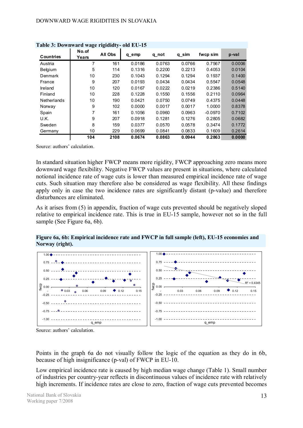|                  | rabie 3. Downward wage rigididly- old EU-13 |         |        |        |        |           |        |  |  |
|------------------|---------------------------------------------|---------|--------|--------|--------|-----------|--------|--|--|
| <b>Countries</b> | No.of<br>Years                              | All Obs | q emp  | q not  | q_sim  | fwcp sim  | p-val  |  |  |
| Austria          | 7                                           | 161     | 0.0186 | 0.0763 | 0.0766 | 0.7567    | 0.0006 |  |  |
| Belgium          | 5                                           | 114     | 0.1316 | 0.2200 | 0.2213 | 0.4053    | 0.0104 |  |  |
| Denmark          | 10                                          | 230     | 0.1043 | 0.1294 | 0.1294 | 0.1937    | 0.1400 |  |  |
| France           | 9                                           | 207     | 0.0193 | 0.0434 | 0.0434 | 0.5547    | 0.0548 |  |  |
| Ireland          | 10                                          | 120     | 0.0167 | 0.0222 | 0.0219 | 0.2386    | 0.5140 |  |  |
| Finland          | 10                                          | 228     | 0.1228 | 0.1550 | 0.1556 | 0.2110    | 0.0964 |  |  |
| Netherlands      | 10                                          | 190     | 0.0421 | 0.0750 | 0.0749 | 0.4375    | 0.0448 |  |  |
| Norway           | 9                                           | 102     | 0.0000 | 0.0017 | 0.0017 | 1.0000    | 0.8378 |  |  |
| Spain            | 7                                           | 161     | 0.1056 | 0.0960 | 0.0963 | $-0.0970$ | 0.7102 |  |  |
| U.K.             | 9                                           | 207     | 0.0918 | 0.1281 | 0.1276 | 0.2805    | 0.0682 |  |  |
| Sweden           | 8                                           | 159     | 0.0377 | 0.0570 | 0.0578 | 0.3474    | 0.1772 |  |  |
| Germany          | 10                                          | 229     | 0.0699 | 0.0841 | 0.0833 | 0.1609    | 0.2614 |  |  |
|                  | 104                                         | 2108    | 0.0674 | 0.0863 | 0.0944 | 0.2863    | 0.0000 |  |  |

**Table 3: Downward wage rigididty- old EU-15** 

Source: authors' calculation.

In standard situation higher FWCP means more rigidity, FWCP approaching zero means more downward wage flexibility. Negative FWCP values are present in situations, where calculated notional incidence rate of wage cuts is lower than measured empirical incidence rate of wage cuts. Such situation may therefore also be considered as wage flexibility. All these findings apply only in case the two incidence rates are significantly distant (p-value) and therefore disturbances are eliminated.

As it arises from (5) in appendix, fraction of wage cuts prevented should be negatively sloped relative to empirical incidence rate. This is true in EU-15 sample, however not so in the full sample (See Figure 6a, 6b).

**Figure 6a, 6b: Empirical incidence rate and FWCP in full sample (left), EU-15 economies and Norway (right).** 



Source: authors' calculation.

Points in the graph 6a do not visually follow the logic of the equation as they do in 6b, because of high insignificance (p-val) of FWCP in EU-10.

Low empirical incidence rate is caused by high median wage change (Table 1). Small number of industries per country-year reflects in discontinuous values of incidence rate with relatively high increments. If incidence rates are close to zero, fraction of wage cuts prevented becomes

National Bank of Slovakia Working paper 7/2008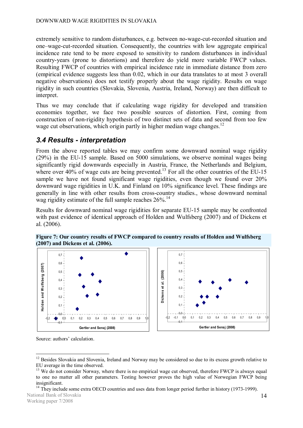extremely sensitive to random disturbances, e.g. between no-wage-cut-recorded situation and one–wage-cut-recorded situation. Consequently, the countries with low aggregate empirical incidence rate tend to be more exposed to sensitivity to random disturbances in individual country-years (prone to distortions) and therefore do yield more variable FWCP values. Resulting FWCP of countries with empirical incidence rate in immediate distance from zero (empirical evidence suggests less than 0.02, which in our data translates to at most 3 overall negative observations) does not testify properly about the wage rigidity. Results on wage rigidity in such countries (Slovakia, Slovenia, Austria, Ireland, Norway) are then difficult to interpret.

Thus we may conclude that if calculating wage rigidity for developed and transition economies together, we face two possible sources of distortion. First, coming from construction of non-rigidity hypothesis of two distinct sets of data and second from too few wage cut observations, which origin partly in higher median wage changes.<sup>12</sup>

### *3.4 Results - interpretation*

From the above reported tables we may confirm some downward nominal wage rigidity (29%) in the EU-15 sample. Based on 5000 simulations, we observe nominal wages being significantly rigid downwards especially in Austria, France, the Netherlands and Belgium, where over 40% of wage cuts are being prevented.<sup>13</sup> For all the other countries of the EU-15 sample we have not found significant wage rigidities, even though we found over 20% downward wage rigidities in U.K. and Finland on 10% significance level. These findings are generally in line with other results from cross-country studies., whose downward nominal wag rigidity estimate of the full sample reaches  $26\%$ .<sup>14</sup>

Results for downward nominal wage rigidities for separate EU-15 sample may be confronted with past evidence of identical approach of Holden and Wulfsberg (2007) and of Dickens et al. (2006).





**Figure 7: Our country results of FWCP compared to country results of Holden and Wulfsberg (2007) and Dickens et al. (2006).** 

Source: authors' calculation.

 $12$  Besides Slovakia and Slovenia, Ireland and Norway may be considered so due to its excess growth relative to EU average in the time observed.

<sup>&</sup>lt;sup>13</sup> We do not consider Norway, where there is no empirical wage cut observed, therefore FWCP is always equal to one no matter all other parameters. Testing however proves the high value of Norwegian FWCP being insignificant.

National Bank of Slovakia <sup>14</sup> They include some extra OECD countries and uses data from longer period further in history (1973-1999).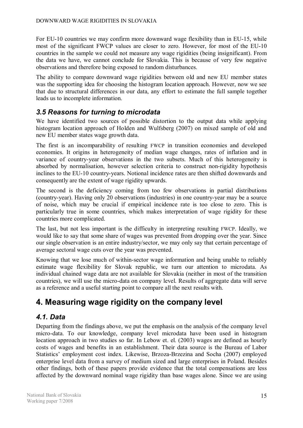For EU-10 countries we may confirm more downward wage flexibility than in EU-15, while most of the significant FWCP values are closer to zero. However, for most of the EU-10 countries in the sample we could not measure any wage rigidities (being insignificant). From the data we have, we cannot conclude for Slovakia. This is because of very few negative observations and therefore being exposed to random disturbances.

The ability to compare downward wage rigidities between old and new EU member states was the supporting idea for choosing the histogram location approach. However, now we see that due to structural differences in our data, any effort to estimate the full sample together leads us to incomplete information.

### *3.5 Reasons for turning to microdata*

We have identified two sources of possible distortion to the output data while applying histogram location approach of Holden and Wulfsberg (2007) on mixed sample of old and new EU member states wage growth data.

The first is an incomparability of resulting FWCP in transition economies and developed economies. It origins in heterogeneity of median wage changes, rates of inflation and in variance of country-year observations in the two subsets. Much of this heterogeneity is absorbed by normalisation, however selection criteria to construct non-rigidity hypothesis inclines to the EU-10 country-years. Notional incidence rates are then shifted downwards and consequently are the extent of wage rigidity upwards.

The second is the deficiency coming from too few observations in partial distributions (country-year). Having only 20 observations (industries) in one country-year may be a source of noise, which may be crucial if empirical incidence rate is too close to zero. This is particularly true in some countries, which makes interpretation of wage rigidity for these countries more complicated.

The last, but not less important is the difficulty in interpreting resulting FWCP. Ideally, we would like to say that some share of wages was prevented from dropping over the year. Since our single observation is an entire industry/sector, we may only say that certain percentage of average sectoral wage cuts over the year was prevented.

Knowing that we lose much of within-sector wage information and being unable to reliably estimate wage flexibility for Slovak republic, we turn our attention to microdata. As individual chained wage data are not available for Slovakia (neither in most of the transition countries), we will use the micro-data on company level. Results of aggregate data will serve as a reference and a useful starting point to compare all the next results with.

# **4. Measuring wage rigidity on the company level**

#### *4.1. Data*

Departing from the findings above, we put the emphasis on the analysis of the company level micro-data. To our knowledge, company level microdata have been used in histogram location approach in two studies so far. In Lebow et. el. (2003) wages are defined as hourly costs of wages and benefits in an establishment. Their data source is the Bureau of Labor Statistics' employment cost index. Likewise, Brzoza-Brzezina and Socha (2007) employed enterprise level data from a survey of medium sized and large enterprises in Poland. Besides other findings, both of these papers provide evidence that the total compensations are less affected by the downward nominal wage rigidity than base wages alone. Since we are using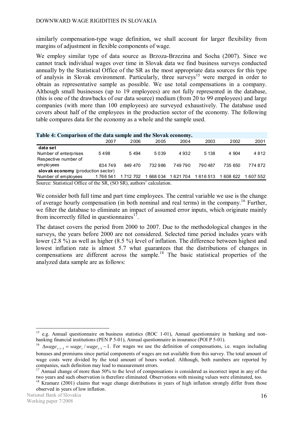similarly compensation-type wage definition, we shall account for larger flexibility from margins of adjustment in flexible components of wage.

We employ similar type of data source as Brzoza-Brzezina and Socha (2007). Since we cannot track individual wages over time in Slovak data we find business surveys conducted annually by the Statistical Office of the SR as the most appropriate data sources for this type of analysis in Slovak environment. Particularly, three surveys<sup>15</sup> were merged in order to obtain as representative sample as possible. We use total compensations in a company. Although small businesses (up to 19 employees) are not fully represented in the database, (this is one of the drawbacks of our data source) medium (from 20 to 99 employees) and large companies (with more than 100 employees) are surveyed exhaustively. The database used covers about half of the employees in the production sector of the economy. The following table compares data for the economy as a whole and the sample used.

| Table 4: Comparison of the data sample and the Slovak economy.         |         |               |          |         |         |         |           |  |  |  |  |
|------------------------------------------------------------------------|---------|---------------|----------|---------|---------|---------|-----------|--|--|--|--|
|                                                                        | 2007    | 2006          | 2005     | 2004    | 2003    | 2002    | 2001      |  |  |  |  |
| data set                                                               |         |               |          |         |         |         |           |  |  |  |  |
| Number of enterprises                                                  | 5498    | 5 4 9 4       | 5039     | 4932    | 5 1 3 8 | 4 904   | 4812      |  |  |  |  |
| Respective number of                                                   |         |               |          |         |         |         |           |  |  |  |  |
| employees                                                              | 834749  | 849 470       | 732 986  | 749790  | 790 487 | 735 650 | 774872    |  |  |  |  |
| slovak economy (production sector)                                     |         |               |          |         |         |         |           |  |  |  |  |
| Number of employees                                                    | 1766541 | 1 7 1 2 7 0 2 | 668 0 34 | 1621704 | 1616513 | 608 622 | 1 607 552 |  |  |  |  |
| Source: Statistical Office of the $SR$ (SO $SR$ ) authors' calculation |         |               |          |         |         |         |           |  |  |  |  |

Source: Statistical Office of the SR, (SO SR), authors' calculation.

We consider both full time and part time employees. The central variable we use is the change of average hourly compensation (in both nominal and real terms) in the company. <sup>16</sup> Further, we filter the database to eliminate an impact of assumed error inputs, which originate mainly from incorrectly filled in questionnaires $17$ .

The dataset covers the period from 2000 to 2007. Due to the methodological changes in the surveys, the years before 2000 are not considered. Selected time period includes years with lower (2.8 %) as well as higher (8.5 %) level of inflation. The difference between highest and lowest inflation rate is almost 5.7 what guarantees that the distributions of changes in compensations are different across the sample.<sup>18</sup> The basic statistical properties of the analyzed data sample are as follows:

<sup>&</sup>lt;sup>15</sup> e.g. Annual questionnaire on business statistics (ROC 1-01), Annual questionnaire in banking and nonbanking financial institutions (PEN P 5-01), Annual questionnaire in insurance (POI P 5-01).

<sup>&</sup>lt;sup>16</sup>  $\Delta wage_{t/t-1} = wage_t / wage_{t-1} - 1$ . For wages we use the definition of compensations, i.e. wages including bonuses and premiums since partial components of wages are not available from this survey. The total amount of wage costs were divided by the total amount of hours worked. Although, both numbers are reported by companies, such definition may lead to measurement errors.

<sup>&</sup>lt;sup>17</sup> Annual change of more than 50% to the level of compensations is considered as incorrect input in any of the two years and such observation is therefore eliminated. Observations with missing values were eliminated, too.

 $18$  Kramarz (2001) claims that wage change distributions in years of high inflation strongly differ from those observed in years of low inflation.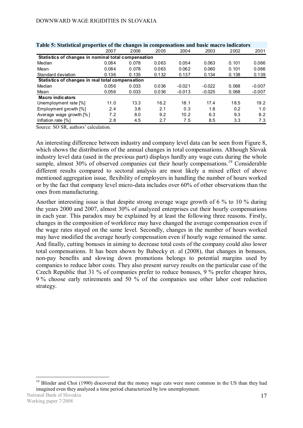| Table 5: Statistical properties of the changes in compensations and basic macro indicators |       |       |       |          |          |       |          |  |
|--------------------------------------------------------------------------------------------|-------|-------|-------|----------|----------|-------|----------|--|
|                                                                                            | 2007  | 2006  | 2005  | 2004     | 2003     | 2002  | 2001     |  |
| Statistics of changes in nominal total compensation                                        |       |       |       |          |          |       |          |  |
| Median                                                                                     | 0.084 | 0.078 | 0.063 | 0.054    | 0.063    | 0.101 | 0.066    |  |
| Mean                                                                                       | 0.084 | 0.078 | 0.063 | 0.062    | 0.060    | 0.101 | 0.066    |  |
| Standard deviation                                                                         | 0.136 | 0.135 | 0.132 | 0.137    | 0.134    | 0.138 | 0.139    |  |
| Statistics of changes in real total compensation                                           |       |       |       |          |          |       |          |  |
| Median                                                                                     | 0.056 | 0.033 | 0.036 | $-0.021$ | $-0.022$ | 0.068 | $-0.007$ |  |
| Mean                                                                                       | 0.056 | 0.033 | 0.036 | $-0.013$ | $-0.025$ | 0.068 | $-0.007$ |  |
| <b>Macro indicators</b>                                                                    |       |       |       |          |          |       |          |  |
| Unemployment rate [%]                                                                      | 11.0  | 13.3  | 16.2  | 18.1     | 17.4     | 18.5  | 19.2     |  |
| Employment growth [%]                                                                      | 2.4   | 3.8   | 2.1   | 0.3      | 1.8      | 0.2   | 1.0      |  |
| Average wage growth [%]                                                                    | 7.2   | 8.0   | 9.2   | 10.2     | 6.3      | 9.3   | 8.2      |  |
| Inflation rate [%]                                                                         | 2.8   | 4.5   | 2.7   | 7.5      | 8.5      | 3.3   | 7.3      |  |

**Table 5: Statistical properties of the changes in compensations and basic macro indicators** 

Source: SO SR, authors' calculation.

An interesting difference between industry and company level data can be seen from Figure 8, which shows the distributions of the annual changes in total compensations. Although Slovak industry level data (used in the previous part) displays hardly any wage cuts during the whole sample, almost 30% of observed companies cut their hourly compensations.<sup>19</sup> Considerable different results compared to sectoral analysis are most likely a mixed effect of above mentioned aggregation issue, flexibility of employers in handling the number of hours worked or by the fact that company level micro-data includes over 60% of other observations than the ones from manufacturing.

Another interesting issue is that despite strong average wage growth of 6 % to 10 % during the years 2000 and 2007, almost 30% of analyzed enterprises cut their hourly compensations in each year. This paradox may be explained by at least the following three reasons. Firstly, changes in the composition of workforce may have changed the average compensation even if the wage rates stayed on the same level. Secondly, changes in the number of hours worked may have modified the average hourly compensation even if hourly wage remained the same. And finally, cutting bonuses in aiming to decrease total costs of the company could also lower total compensations. It has been shown by Babecky et. al (2008), that changes in bonuses, non-pay benefits and slowing down promotions belongs to potential margins used by companies to reduce labor costs. They also present survey results on the particular case of the Czech Republic that 31 % of companies prefer to reduce bonuses, 9 % prefer cheaper hires, 9 % choose early retirements and 50 % of the companies use other labor cost reduction strategy.

<sup>&</sup>lt;sup>19</sup> Blinder and Choi (1990) discovered that the money wage cuts were more common in the US than they had imagined even they analyzed a time period characterized by low unemployment.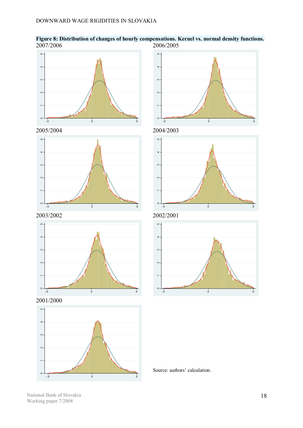

**Figure 8: Distribution of changes of hourly compensations. Kernel vs. normal density functions.** 2007/2006 2006/2005





2003/2002 2002/2001



2001/2000











Source: authors' calculation.

National Bank of Slovakia Working paper 7/2008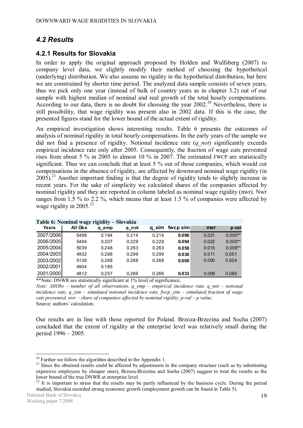### *4.2 Results*

#### **4.2.1 Results for Slovakia**

In order to apply the original approach proposed by Holden and Wulfsberg (2007) to company level data, we slightly modify their method of choosing the hypothetical (underlying) distribution. We also assume no rigidity in the hypothetical distribution, but here we are constrained by shorter time period. The analyzed data sample consists of seven years, thus we pick only one year (instead of bulk of country years as in chapter 3.2) out of our sample with highest median of nominal and real growth of the total hourly compensations. According to our data, there is no doubt for choosing the year  $2002<sup>20</sup>$  Nevertheless, there is still possibility, that wage rigidity was present also in 2002 data. If this is the case, the presented figures stand for the lower bound of the actual extent of rigidity.

An empirical investigation shows interesting results. Table 6 presents the outcomes of analysis of nominal rigidity in total hourly compensations. In the early years of the sample we did not find a presence of rigidity. Notional incidence rate (*q\_not*) significantly exceeds empirical incidence rate only after 2005. Consequently, the fraction of wage cuts prevented rises from about 5 % in 2005 to almost 10 % in 2007. The estimated FWCP are statistically significant. Thus we can conclude that at least 5 % out of those companies, which would cut compensations in the absence of rigidity, are affected by downward nominal wage rigidity (in  $2005$ ).<sup>21</sup> Another important finding is that the degree of rigidity tends to slightly increase in recent years. For the sake of simplicity we calculated shares of the companies affected by nominal rigidity and they are reported in column labeled as nominal wage rigidity (nwr). Nwr ranges from 1.5 % to 2.2 %, which means that at least 1.5 % of companies were affected by wage rigidity in 2005. $^{22}$ 

|           | <b>Lavic v. Indifficiel wage lightly <math>-</math> Slovakia</b> |       |       |       |          |       |           |
|-----------|------------------------------------------------------------------|-------|-------|-------|----------|-------|-----------|
| Years     | All Obs                                                          | q emp | q not | q sim | fwcp sim | nwr   | p-val     |
| 2007/2006 | 5498                                                             | 0.194 | 0.214 | 0.214 | 0.096    | 0.021 | $0.000**$ |
| 2006/2005 | 5494                                                             | 0.207 | 0.229 | 0.229 | 0.094    | 0.022 | $0.000**$ |
| 2005/2004 | 5039                                                             | 0.248 | 0.263 | 0.263 | 0.058    | 0.015 | $0.006**$ |
| 2004/2003 | 4932                                                             | 0.288 | 0.299 | 0.299 | 0.036    | 0.011 | 0.051     |
| 2003/2002 | 5138                                                             | 0.268 | 0.268 | 0.268 | 0.000    | 0.000 | 0.504     |
| 2002/2001 | 4904                                                             | 0.185 |       |       |          |       |           |
| 2001/2000 | 4812                                                             | 0.257 | 0.266 | 0.266 | 0.033    | 0.009 | 0.085     |

\*\*Note: DNWR are statistically significant at 1% level of significance.

*Note: AllObs – number of all observations, q\_emp – empirical incidence rate, q\_not – notional incidence rate, q\_sim – simulated notional incidence rate, fwcp\_sim – simulated fraction of wage cuts prevented, nwr – share of companies affected by nominal rigidity, p-val – p value.*  Source: authors' calculation.

Our results are in line with those reported for Poland. Brzoza-Brzezina and Socha (2007) concluded that the extent of rigidity at the enterprise level was relatively small during the period 1996 – 2005.

 $20$  Further we follow the algorithm described in the Appendix 1.

 $21$  Since the obtained results could be affected by adjustments in the company structure (such as by substituting expensive employees by cheaper ones), Brzoza-Brzezina and Socha (2007) suggest to treat the results as the lower bound of the true DNWR at enterprise level.

 $22$  It is important to stress that the results may be partly influenced by the business cycle. During the period studied, Slovakia recorded strong economic growth (employment growth can be found in Table 5).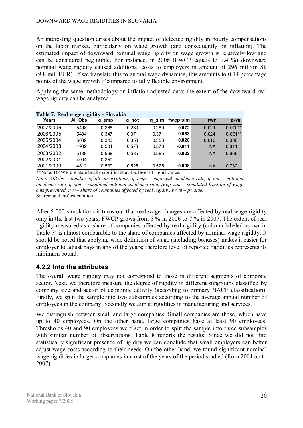An interesting question arises about the impact of detected rigidity in hourly compensations on the labor market, particularly on wage growth (and consequently on inflation). The estimated impact of downward nominal wage rigidity on wage growth is relatively low and can be considered negligible. For instance, in 2006 (FWCP equals to 9.4 %) downward nominal wage rigidity caused additional costs to employers in amount of 296 million Sk (9.8 mil. EUR). If we translate this to annual wage dynamics, this amounts to 0.14 percentage points of the wage growth if compared to fully flexible environment.

Applying the same methodology on inflation adjusted data; the extent of the downward real wage rigidity can be analyzed.

|           | Table 7: Real wage rigidity - Slovakia |       |       |       |          |           |           |
|-----------|----------------------------------------|-------|-------|-------|----------|-----------|-----------|
| Years     | All Obs                                | q emp | q not | q sim | fwcp sim | rwr       | p-val     |
| 2007/2006 | 5498                                   | 0.268 | 0.289 | 0.289 | 0.072    | 0.021     | $0.000**$ |
| 2006/2005 | 5494                                   | 0.347 | 0.371 | 0.371 | 0.063    | 0.024     | $0.001**$ |
| 2005/2004 | 5039                                   | 0.343 | 0.353 | 0.353 | 0.028    | 0.010     | 0.080     |
| 2004/2003 | 4932                                   | 0.584 | 0.578 | 0.578 | $-0.011$ | <b>NA</b> | 0.811     |
| 2003/2002 | 5138                                   | 0.598 | 0.585 | 0.585 | $-0.022$ | <b>NA</b> | 0.969     |
| 2002/2001 | 4904                                   | 0.259 |       |       |          |           |           |
| 2001/2000 | 4812                                   | 0.530 | 0.525 | 0.525 | $-0.008$ | <b>NA</b> | 0.732     |

\*\*Note: DRWR are statistically significant at 1% level of significance.

*Note: AllObs – number of all observations, q\_emp – empirical incidence rate, q\_not – notional incidence rate, q\_sim – simulated notional incidence rate, fwcp\_sim – simulated fraction of wage cuts prevented, rwr – share of companies affected by real rigidity, p-val – p value.*  Source: authors' calculation.

After 5 000 simulations it turns out that real wage changes are affected by real wage rigidity only in the last two years, FWCP grows from 6 % in 2006 to 7 % in 2007. The extent of real rigidity measured as a share of companies affected by real rigidity (column labeled as rwr in Table 7) is almost comparable to the share of companies affected by nominal wage rigidity. It should be noted that applying wide definition of wage (including bonuses) makes it easier for employer to adjust pays in any of the years; therefore level of reported rigidities represents its minimum bound.

#### **4.2.2 Into the attributes**

The overall wage rigidity may not correspond to those in different segments of corporate sector. Next, we therefore measure the degree of rigidity in different subgroups classified by company size and sector of economic activity (according to primary NACE classification). Firstly, we split the sample into two subsamples according to the average annual number of employees in the company. Secondly we aim at rigidities in manufacturing and services.

We distinguish between small and large companies. Small companies are those, which have up to 40 employees. On the other hand, large companies have at least 90 employees. Thresholds 40 and 90 employees were set in order to split the sample into three subsamples with similar number of observations. Table 8 reports the results. Since we did not find statistically significant presence of rigidity we can conclude that small employers can better adjust wage costs according to their needs. On the other hand, we found significant nominal wage rigidities in larger companies in most of the years of the period studied (from 2004 up to 2007).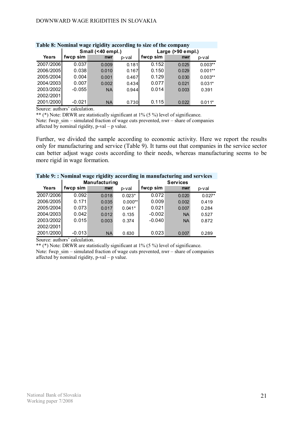| Table 0. Tommar wage rightly according to size of the company |          |                   |       |                     |       |           |  |  |  |
|---------------------------------------------------------------|----------|-------------------|-------|---------------------|-------|-----------|--|--|--|
|                                                               |          | Small (<40 empl.) |       | Large $(>90$ empl.) |       |           |  |  |  |
| Years                                                         | fwcp sim | nwr               | p-val | fwcp sim            | nwr   | p-val     |  |  |  |
| 2007/2006                                                     | 0.037    | 0.009             | 0.181 | 0.152               | 0.025 | $0.003**$ |  |  |  |
| 2006/2005                                                     | 0.038    | 0.010             | 0.167 | 0.150               | 0.029 | $0.001**$ |  |  |  |
| 2005/2004                                                     | 0.004    | 0.001             | 0.467 | 0.129               | 0.030 | $0.003**$ |  |  |  |
| 2004/2003                                                     | 0.007    | 0.002             | 0.434 | 0.077               | 0.021 | $0.031*$  |  |  |  |
| 2003/2002                                                     | $-0.055$ | <b>NA</b>         | 0.944 | 0.014               | 0.003 | 0.391     |  |  |  |
| 2002/2001                                                     |          |                   |       |                     |       |           |  |  |  |
| 2001/2000                                                     | $-0.021$ | <b>NA</b>         | 0.730 | 0.115               | 0.022 | $0.011*$  |  |  |  |

### **Table 8: Nominal wage rigidity according to size of the company**

Source: authors' calculation.

\*\* (\*) Note: DRWR are statistically significant at 1% (5 %) level of significance.

Note: fwcp\_sim – simulated fraction of wage cuts prevented, nwr – share of companies affected by nominal rigidity, p-val – p value.

Further, we divided the sample according to economic activity. Here we report the results only for manufacturing and service (Table 9). It turns out that companies in the service sector can better adjust wage costs according to their needs, whereas manufacturing seems to be more rigid in wage formation.

| raoic 21 Frommar wage rightly according in manufacturing and services |          |                      |           |                 |           |          |  |  |
|-----------------------------------------------------------------------|----------|----------------------|-----------|-----------------|-----------|----------|--|--|
|                                                                       |          | <b>Manufacturing</b> |           | <b>Services</b> |           |          |  |  |
| Years                                                                 | fwcp sim | nwr                  | p-val     | fwcp sim        | nwr       | p-val    |  |  |
| 2007/2006                                                             | 0.092    | 0.018                | $0.023*$  | 0.072           | 0.020     | $0.027*$ |  |  |
| 2006/2005                                                             | 0.171    | 0.035                | $0.000**$ | 0.009           | 0.002     | 0.419    |  |  |
| 2005/2004                                                             | 0.073    | 0.017                | $0.041*$  | 0.021           | 0.007     | 0.284    |  |  |
| 2004/2003                                                             | 0.042    | 0.012                | 0.135     | $-0.002$        | <b>NA</b> | 0.527    |  |  |
| 2003/2002                                                             | 0.015    | 0.003                | 0.374     | $-0.040$        | <b>NA</b> | 0.872    |  |  |
| 2002/2001                                                             |          |                      |           |                 |           |          |  |  |
| 2001/2000                                                             | $-0.013$ | <b>NA</b>            | 0.630     | 0.023           | 0.007     | 0.289    |  |  |

| Table 9:: Nominal wage rigidity according in manufacturing and services |  |  |  |  |
|-------------------------------------------------------------------------|--|--|--|--|
|-------------------------------------------------------------------------|--|--|--|--|

Source: authors' calculation.

\*\* (\*) Note: DRWR are statistically significant at 1% (5 %) level of significance.

Note: fwcp\_sim – simulated fraction of wage cuts prevented, nwr – share of companies affected by nominal rigidity,  $p$ -val –  $p$  value.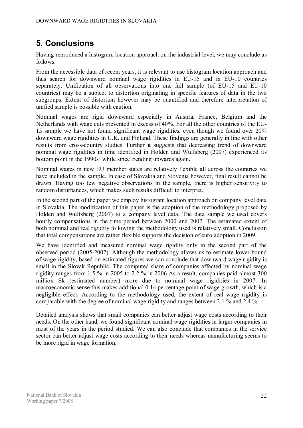# **5. Conclusions**

Having reproduced a histogram location approach on the industrial level, we may conclude as follows:

From the accessible data of recent years, it is relevant to use histogram location approach and thus search for downward nominal wage rigidities in EU-15 and in EU-10 countries separately. Unification of all observations into one full sample (of EU-15 and EU-10 countries) may be a subject to distortion originating in specific features of data in the two subgroups. Extent of distortion however may be quantified and therefore interpretation of unified sample is possible with caution.

Nominal wages are rigid downward especially in Austria, France, Belgium and the Netherlands with wage cuts prevented in excess of 40%. For all the other countries of the EU-15 sample we have not found significant wage rigidities, even though we found over 20% downward wage rigidities in U.K. and Finland. These findings are generally in line with other results from cross-country studies. Further it suggests that decreasing trend of downward nominal wage rigidities in time identified in Holden and Wulfsberg (2007) experienced its bottom point in the 1990s´ while since trending upwards again.

Nominal wages in new EU member states are relatively flexible all across the countries we have included in the sample. In case of Slovakia and Slovenia however, final result cannot be drawn. Having too few negative observations in the sample, there is higher sensitivity to random disturbances, which makes such results difficult to interpret.

In the second part of the paper we employ histogram location approach on company level data in Slovakia. The modification of this paper is the adoption of the methodology proposed by Holden and Wulfsberg (2007) to a company level data. The data sample we used covers hourly compensations in the time period between 2000 and 2007. The estimated extent of both nominal and real rigidity following the methodology used is relatively small. Conclusion that total compensations are rather flexible supports the decision of euro adoption in 2009.

We have identified and measured nominal wage rigidity only in the second part of the observed period (2005-2007). Although the methodology allows us to estimate lower bound of wage rigidity, based on estimated figures we can conclude that downward wage rigidity is small in the Slovak Republic. The computed share of companies affected by nominal wage rigidity ranges from 1.5 % in 2005 to 2.2 % in 2006 As a result, companies paid almost 300 million Sk (estimated number) more due to nominal wage rigidities in 2007. In macroeconomic sense this makes additional 0.14 percentage point of wage growth, which is a negligible effect. According to the methodology used, the extent of real wage rigidity is comparable with the degree of nominal wage rigidity and ranges between 2,1 % and 2,4 %.

Detailed analysis shows that small companies can better adjust wage costs according to their needs. On the other hand, we found significant nominal wage rigidities in larger companies in most of the years in the period studied. We can also conclude that companies in the service sector can better adjust wage costs according to their needs whereas manufacturing seems to be more rigid in wage formation.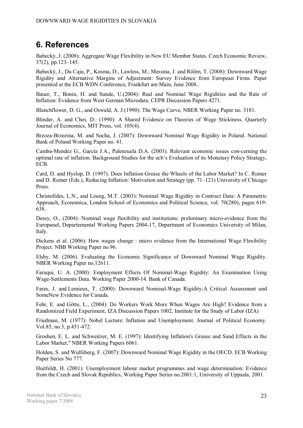# **6. References**

Babecký, J. (2008): Aggregate Wage Flexibility in New EU Member States. Czech Economic Review, 37(2), pp.123–145.

Babecký, J., Du Caju, P., Kosma, D., Lawless, M., Messina, J. and Rõõm, T. (2008): Downward Wage Rigidity and Alternative Margins of Adjustment: Survey Evidence from European Firms. Paper presented at the ECB WDN Conference, Frankfurt am Main, June 2008..

Bauer, T., Bonin, H. and Sunde, U.(2004): Real and Nominal Wage Rigidities and the Rate of Inflation: Evidence from West German Microdata, CEPR Discussion Papers 4271.

Blanchflower, D. G., and Oswald, A. J.(1990): The Wage Curve, NBER Working Paper no. 3181.

Blinder, A. and Choi, D.: (1990): A Shared Evidence on Theories of Wage Stickiness. Quarterly Journal of Economics, MIT Press, vol. 105(4).

Brzoza-Brzezina, M. and Socha, J. (2007): Downward Nominal Wage Rigidity in Poland. National Bank of Poland Working Paper no. 41.

Camba-Mendez G., Garcia J.A., Palenzuela D.A. (2003). Relevant economic issues con-cerning the optimal rate of inflation. Background Studies for the ecb's Evaluation of its Monetary Policy Strategy, ECB.

Card, D. and Hyslop, D. (1997). Does Inflation Grease the Wheels of the Labor Market? In C. Romer and D. Romer (Eds.), Reducing Inflation: Motivation and Strategy (pp. 71–121) University of Chicago Press.

Christofides, L.N., and Leung, M.T. (2003): Nominal Wage Rigidity in Contract Data: A Parametric Approach, Economica, London School of Economics and Political Science, vol. 70(280), pages 619- 638.

Dessy, O., (2004): Nominal wage flexibility and institutions: preliminary micro-evidence from the Europanel, Departemental Working Papers 2004-17, Department of Economics University of Milan, Italy.

Dickens et al. (2006): How wages change : micro evidence from the International Wage Flexibility Project. NBB Working Paper no.96.

Elsby, M. (2006). Evaluating the Economic Significance of Downward Nominal Wage Rigidity. NBER Working Paper no.12611.

Faruqui, U. A. (2000): Employment Effects Of Nominal-Wage Rigidity: An Examination Using Wage-Settlements Data. Working Paper 2000-14. Bank of Canada.

Fares, J. and Lemieux, T. (2000): Downward Nominal-Wage Rigidity:A Critical Assessment and SomeNew Evidence for Canada.

Fehr, E. and Götte, L., (2004): Do Workers Work More When Wages Are High? Evidence from a Randomized Field Experiment, IZA Discussion Papers 1002, Institute for the Study of Labor (IZA)

Friedman, M. (1977): Nobel Lecture: Inflation and Unemployment. Journal of Political Economy. Vol.85, no.3, p.451-472.

Groshen, E. L. and Schweitzer, M. E. (1997): Identifying Inflation's Grease and Sand Effects in the Labor Market," NBER Working Papers 6061.

Holden, S. and Wulfsberg, F. (2007): Downward Nominal Wage Rigidity in the OECD. ECB Working Paper Series No 777.

Huitfeldt, H. (2001): Unemployment labour market programmes and wage determination: Evidence from the Czech and Slovak Republics, Working Paper Series no.2001:1, University of Uppsala, 2001.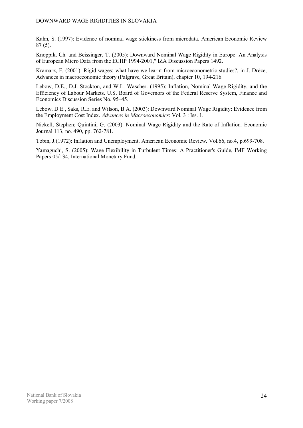#### DOWNWARD WAGE RIGIDITIES IN SLOVAKIA

Kahn, S. (1997): Evidence of nominal wage stickiness from microdata. American Economic Review 87 (5).

Knoppik, Ch. and Beissinger, T. (2005): Downward Nominal Wage Rigidity in Europe: An Analysis of European Micro Data from the ECHP 1994-2001," IZA Discussion Papers 1492.

Kramarz, F. (2001): Rigid wages: what have we learnt from microeconometric studies?, in J. Drèze, Advances in macroeconomic theory (Palgrave, Great Britain), chapter 10, 194-216.

Lebow, D.E., D.J. Stockton, and W.L. Wascher. (1995): Inflation, Nominal Wage Rigidity, and the Efficiency of Labour Markets. U.S. Board of Governors of the Federal Reserve System, Finance and Economics Discussion Series No. 95–45.

Lebow, D.E., Saks, R.E. and Wilson, B.A. (2003): Downward Nominal Wage Rigidity: Evidence from the Employment Cost Index. *Advances in Macroeconomics*: Vol. 3 : Iss. 1.

Nickell, Stephen; Quintini, G. (2003): Nominal Wage Rigidity and the Rate of Inflation. Economic Journal 113, no. 490, pp. 762-781.

Tobin, J.(1972): Inflation and Unemployment. American Economic Review. Vol.66, no.4, p.699-708.

Yamaguchi, S. (2005): Wage Flexibility in Turbulent Times: A Practitioner's Guide, IMF Working Papers 05/134, International Monetary Fund.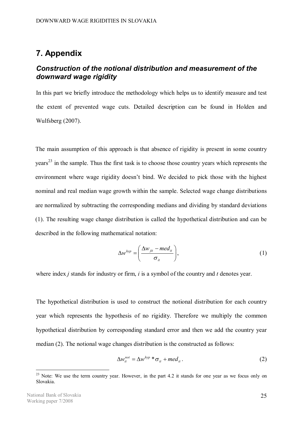### **7. Appendix**

#### *Construction of the notional distribution and measurement of the downward wage rigidity*

In this part we briefly introduce the methodology which helps us to identify measure and test the extent of prevented wage cuts. Detailed description can be found in Holden and Wulfsberg (2007).

The main assumption of this approach is that absence of rigidity is present in some country  $years<sup>23</sup>$  in the sample. Thus the first task is to choose those country years which represents the environment where wage rigidity doesn't bind. We decided to pick those with the highest nominal and real median wage growth within the sample. Selected wage change distributions are normalized by subtracting the corresponding medians and dividing by standard deviations (1). The resulting wage change distribution is called the hypothetical distribution and can be described in the following mathematical notation:

$$
\Delta w^{hyp} = \left(\frac{\Delta w_{jit} - med_{it}}{\sigma_{it}}\right),\tag{1}
$$

where index *j* stands for industry or firm, *i* is a symbol of the country and *t* denotes year.

The hypothetical distribution is used to construct the notional distribution for each country year which represents the hypothesis of no rigidity. Therefore we multiply the common hypothetical distribution by corresponding standard error and then we add the country year median (2). The notional wage changes distribution is the constructed as follows:

$$
\Delta w_{it}^{not} = \Delta w^{hyp} * \sigma_{it} + med_{it}.
$$
 (2)

 $23$  Note: We use the term country year. However, in the part 4.2 it stands for one year as we focus only on Slovakia.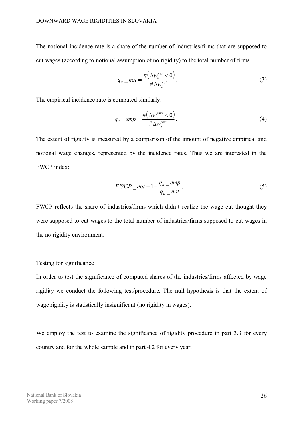The notional incidence rate is a share of the number of industries/firms that are supposed to cut wages (according to notional assumption of no rigidity) to the total number of firms.

$$
q_{it} \t not = \frac{\#(\Delta w_{it}^{not} < 0)}{\#\Delta w_{it}^{not}}.
$$
\n(3)

The empirical incidence rate is computed similarly:

$$
q_{it} \_emp = \frac{\#(\Delta w_{it}^{emp} < 0)}{\#\Delta w_{it}^{emp}}.\tag{4}
$$

The extent of rigidity is measured by a comparison of the amount of negative empirical and notional wage changes, represented by the incidence rates. Thus we are interested in the FWCP index:

$$
FWCP_{\_}not = 1 - \frac{q_{it\_-}emp}{q_{it\_-}not}.
$$
\n<sup>(5)</sup>

FWCP reflects the share of industries/firms which didn't realize the wage cut thought they were supposed to cut wages to the total number of industries/firms supposed to cut wages in the no rigidity environment.

#### Testing for significance

In order to test the significance of computed shares of the industries/firms affected by wage rigidity we conduct the following test/procedure. The null hypothesis is that the extent of wage rigidity is statistically insignificant (no rigidity in wages).

We employ the test to examine the significance of rigidity procedure in part 3.3 for every country and for the whole sample and in part 4.2 for every year.